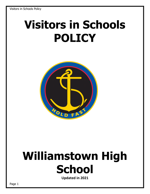# **Visitors in Schools POLICY**



## **Williamstown High School**

**Updated in 2021**

Page 1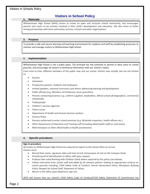### **Visitors in School Policy**

#### **1. Rationale**

 Williamstown High School (WHS) strives to create an open and inclusive school community, and encourages parents and carers to be actively involved in their child's development and education. We also strive to foster strong partnerships with local community services, schools and other organisations.

#### **2. Purpose**

To provide a safe and secure learning and teaching environment for students and staff by establishing processes to monitor and manage visitors to Williamstown High School.

#### **3. Implementation**

Williamstown High School is not a public place. The principal has the authority to permit or deny entry to school grounds, and encourages all visitors to familiarise themselves with our school's v*alues.* 

From time to time, different members of the public may visit our school. Visitors may include, but are not limited to:

- **Parents**
- Volunteers
- Prospective parents, students and employees
- Invited speakers, sessional instructors and others addressing learning and development
- Public officials (e.g. Members of Parliament, local councillors)
- Persons conducting business e.g. uniform suppliers, booksellers, official school photographers, commercial salespeople
- Tradespeople
- Children's services agencies
- Talent scouts
- Department of Health and Human Services workers
- Victoria Police
- Persons authorised to enter school premises (e.g. Worksafe inspectors, health officers etc.)
- Other Department of Education and Training staff (including allied health staff) or contractors
- NDIS therapists or other allied health or health practitioners

#### **4. Specific procedures**

#### **Sign in procedure**

All visitors to Williamstown High School are required to report to the school office on arrival. Visitors must:

- Record their name, signature, date and time of visit and purpose of visit on the Compass Kiosk.
- Provide proof of identification to office staff upon request.
- Produce their valid Working with Children Check where required by this policy (see below).
- Follow instruction from school staff and abide by all relevant policies relating to appropriate conduct on school grounds including; Child Safety Code of Conduct, Sexual Harassment Policy, Workplace Bullying Policy, Respect for School Staff, Statement of Values.
- Return to the office upon departure, sign out.

WHS will ensure that our school's Child Safety Code of Conduct/Child Safety Statement of Commitment are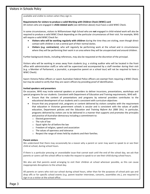available and visible to visitors when they sign in.

**Requirements for visitors to produce a valid Working with Children Check (WWC) card**

All visitors who are engaged in **child-related work** (see definition above) must have a valid WWC Check.

In some circumstances, visitors to Williamstown High School who are **not** engaged in child-related work will also be required to produce a valid WWC Check depending on the particular circumstances of their visit. For example, WHS will require a valid WWC Check for:

- **Visitors who will be working regularly with children** during the time they are visiting, even though direct contact with children is not a central part of their normal duties.
- **Visitors (e.g. contractors)**, who will regularly be performing work at the school and in circumstances where they will be performing their work in an area where they will be unsupervised and around children.

Further background checks, including references, may also be requested at the discretion of the principal.

Visitors who will be working in areas away from students (e.g. a visiting auditor who will be located in the front office with administration staff) or who will be supervised and accompanied by a staff member during their visit (e.g. a Member of Parliament, a journalist, a prospective parent on a school tour) will not be required to have a WWC Check).

Sworn Victoria Police officers or sworn Australian Federal Police officers are exempt from requiring a WWC Check, but may be asked to verify that they are sworn officers by providing proof of identification.

#### **Invited speakers and presenters**

On occasion, WHS may invite external speakers or providers to deliver incursions, presentations, workshops and special programs for our students. Consistent with Department of Education and Training requirements, WHS will:

- Ensure that the content of presentations and programs by external providers contributes to the educational development of our students and is consistent with curriculum objectives
- Ensure that any proposed visit, programs or content delivered by visitors complies with the requirement that education in Victorian government schools is secular and is consistent with the values of public education, Department policies and the *Education and Training Reform Act 2006* (Vic). In particular, programs delivered by visitors are to be delivered in a manner that supports and promotes the principles and practice of Australian democracy including a commitment to:
	- o Elected government
	- o The rule of law
	- o Equal rights for all before the law
	- o Freedom of religion, speech and association
	- o The values of openness and tolerance
	- o Respect the range of views held by students and their families.

#### **Parent visitors**

We understand that there may occasionally be a reason why a parent or carer may want to speak to or see their child at school, during school hours.

If there is a particular pressing or unavoidable issue that cannot wait until the end of the school day, we ask that parents or carers call the school office to make the request to speak to or see their child during school hours.

We also ask that parents avoid arranging to visit their children at school wherever possible, as this can cause inappropriate disruptions to the school day.

All parents or carers who visit our school during school hours, other than for the purposes of school pick ups and drop offs or for specific school events (e.g. parent teacher interviews, concerts, assemblies etc.), are required to sign in as a visitor at the school office.